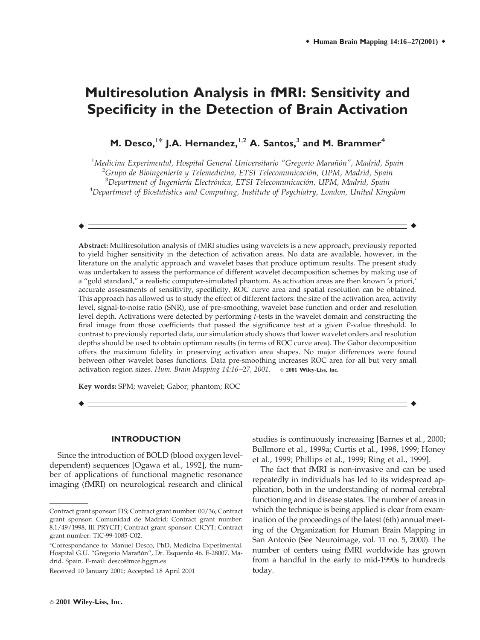# **Multiresolution Analysis in fMRI: Sensitivity and Specificity in the Detection of Brain Activation**

**M. Desco,**1\* **J.A. Hernandez,**1,2 **A. Santos,**<sup>3</sup> **and M. Brammer**<sup>4</sup>

 *Medicina Experimental, Hospital General Universitario "Gregorio Maran˜ o´n", Madrid, Spain* <sup>2</sup> *Grupo de Bioingenier´ıa y Telemedicina, ETSI Telecomunicacio´n, UPM, Madrid, Spain Department of Ingenier´ıa Electro´nica, ETSI Telecomunicacio´n, UPM, Madrid, Spain Department of Biostatistics and Computing, Institute of Psychiatry, London, United Kingdom*

r r

**Abstract:** Multiresolution analysis of fMRI studies using wavelets is a new approach, previously reported to yield higher sensitivity in the detection of activation areas. No data are available, however, in the literature on the analytic approach and wavelet bases that produce optimum results. The present study was undertaken to assess the performance of different wavelet decomposition schemes by making use of a "gold standard," a realistic computer-simulated phantom. As activation areas are then known 'a priori,' accurate assessments of sensitivity, specificity, ROC curve area and spatial resolution can be obtained. This approach has allowed us to study the effect of different factors: the size of the activation area, activity level, signal-to-noise ratio (SNR), use of pre-smoothing, wavelet base function and order and resolution level depth. Activations were detected by performing *t*-tests in the wavelet domain and constructing the final image from those coefficients that passed the significance test at a given *P*-value threshold. In contrast to previously reported data, our simulation study shows that lower wavelet orders and resolution depths should be used to obtain optimum results (in terms of ROC curve area). The Gabor decomposition offers the maximum fidelity in preserving activation area shapes. No major differences were found between other wavelet bases functions. Data pre-smoothing increases ROC area for all but very small activation region sizes. *Hum. Brain Mapping 14:16–27, 2001.* © **2001 Wiley-Liss, Inc.**

 $\blacklozenge$  respectively. The contract of the contract of the contract of the contract of the contract of the contract of the contract of the contract of the contract of the contract of the contract of the contract of the con

**Key words:** SPM; wavelet; Gabor; phantom; ROC

#### **INTRODUCTION**

Since the introduction of BOLD (blood oxygen leveldependent) sequences [Ogawa et al., 1992], the number of applications of functional magnetic resonance imaging (fMRI) on neurological research and clinical studies is continuously increasing [Barnes et al., 2000; Bullmore et al., 1999a; Curtis et al., 1998, 1999; Honey et al., 1999; Phillips et al., 1999; Ring et al., 1999].

The fact that fMRI is non-invasive and can be used repeatedly in individuals has led to its widespread application, both in the understanding of normal cerebral functioning and in disease states. The number of areas in which the technique is being applied is clear from examination of the proceedings of the latest (6th) annual meeting of the Organization for Human Brain Mapping in San Antonio (See Neuroimage, vol. 11 no. 5, 2000). The number of centers using fMRI worldwide has grown from a handful in the early to mid-1990s to hundreds today.

Contract grant sponsor: FIS; Contract grant number: 00/36; Contract grant sponsor: Comunidad de Madrid; Contract grant number: 8.1/49/1998, III PRYCIT; Contract grant sponsor: CICYT; Contract grant number: TIC-99-1085-C02.

<sup>\*</sup>Correspondance to: Manuel Desco, PhD, Medicina Experimental. Hospital G.U. "Gregorio Marañón", Dr. Esquerdo 46. E-28007. Madrid. Spain. E-mail: desco@mce.hggm.es

Received 10 January 2001; Accepted 18 April 2001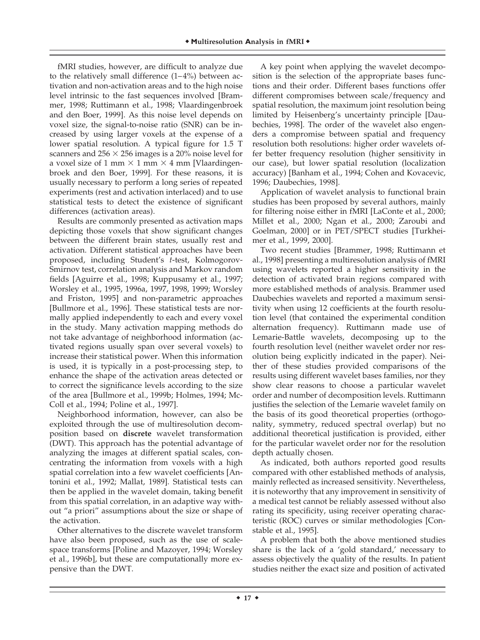fMRI studies, however, are difficult to analyze due to the relatively small difference  $(1-4\%)$  between activation and non-activation areas and to the high noise level intrinsic to the fast sequences involved [Brammer, 1998; Ruttimann et al., 1998; Vlaardingenbroek and den Boer, 1999]. As this noise level depends on voxel size, the signal-to-noise ratio (SNR) can be increased by using larger voxels at the expense of a lower spatial resolution. A typical figure for 1.5 T scanners and  $256 \times 256$  images is a 20% noise level for a voxel size of 1 mm  $\times$  1 mm  $\times$  4 mm [Vlaardingenbroek and den Boer, 1999]. For these reasons, it is usually necessary to perform a long series of repeated experiments (rest and activation interlaced) and to use statistical tests to detect the existence of significant differences (activation areas).

Results are commonly presented as activation maps depicting those voxels that show significant changes between the different brain states, usually rest and activation. Different statistical approaches have been proposed, including Student's *t*-test, Kolmogorov-Smirnov test, correlation analysis and Markov random fields [Aguirre et al., 1998; Kuppusamy et al., 1997; Worsley et al., 1995, 1996a, 1997, 1998, 1999; Worsley and Friston, 1995] and non-parametric approaches [Bullmore et al., 1996]. These statistical tests are normally applied independently to each and every voxel in the study. Many activation mapping methods do not take advantage of neighborhood information (activated regions usually span over several voxels) to increase their statistical power. When this information is used, it is typically in a post-processing step, to enhance the shape of the activation areas detected or to correct the significance levels according to the size of the area [Bullmore et al., 1999b; Holmes, 1994; Mc-Coll et al., 1994; Poline et al., 1997].

Neighborhood information, however, can also be exploited through the use of multiresolution decomposition based on **discrete** wavelet transformation (DWT). This approach has the potential advantage of analyzing the images at different spatial scales, concentrating the information from voxels with a high spatial correlation into a few wavelet coefficients [Antonini et al., 1992; Mallat, 1989]. Statistical tests can then be applied in the wavelet domain, taking benefit from this spatial correlation, in an adaptive way without "a priori" assumptions about the size or shape of the activation.

Other alternatives to the discrete wavelet transform have also been proposed, such as the use of scalespace transforms [Poline and Mazoyer, 1994; Worsley et al., 1996b], but these are computationally more expensive than the DWT.

A key point when applying the wavelet decomposition is the selection of the appropriate bases functions and their order. Different bases functions offer different compromises between scale/frequency and spatial resolution, the maximum joint resolution being limited by Heisenberg's uncertainty principle [Daubechies, 1998]. The order of the wavelet also engenders a compromise between spatial and frequency resolution both resolutions: higher order wavelets offer better frequency resolution (higher sensitivity in our case), but lower spatial resolution (localization accuracy) [Banham et al., 1994; Cohen and Kovacevic, 1996; Daubechies, 1998].

Application of wavelet analysis to functional brain studies has been proposed by several authors, mainly for filtering noise either in fMRI [LaConte et al., 2000; Millet et al., 2000; Ngan et al., 2000; Zaroubi and Goelman, 2000] or in PET/SPECT studies [Turkheimer et al., 1999, 2000].

Two recent studies [Brammer, 1998; Ruttimann et al., 1998] presenting a multiresolution analysis of fMRI using wavelets reported a higher sensitivity in the detection of activated brain regions compared with more established methods of analysis. Brammer used Daubechies wavelets and reported a maximum sensitivity when using 12 coefficients at the fourth resolution level (that contained the experimental condition alternation frequency). Ruttimann made use of Lemarie-Battle wavelets, decomposing up to the fourth resolution level (neither wavelet order nor resolution being explicitly indicated in the paper). Neither of these studies provided comparisons of the results using different wavelet bases families, nor they show clear reasons to choose a particular wavelet order and number of decomposition levels. Ruttimann justifies the selection of the Lemarie wavelet family on the basis of its good theoretical properties (orthogonality, symmetry, reduced spectral overlap) but no additional theoretical justification is provided, either for the particular wavelet order nor for the resolution depth actually chosen.

As indicated, both authors reported good results compared with other established methods of analysis, mainly reflected as increased sensitivity. Nevertheless, it is noteworthy that any improvement in sensitivity of a medical test cannot be reliably assessed without also rating its specificity, using receiver operating characteristic (ROC) curves or similar methodologies [Constable et al., 1995].

A problem that both the above mentioned studies share is the lack of a 'gold standard,' necessary to assess objectively the quality of the results. In patient studies neither the exact size and position of activated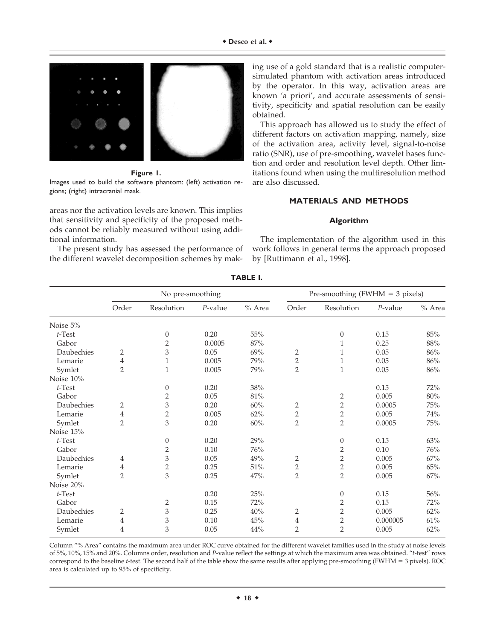

**Figure 1.**

Images used to build the software phantom: (left) activation regions; (right) intracranial mask.

areas nor the activation levels are known. This implies that sensitivity and specificity of the proposed methods cannot be reliably measured without using additional information.

The present study has assessed the performance of the different wavelet decomposition schemes by making use of a gold standard that is a realistic computersimulated phantom with activation areas introduced by the operator. In this way, activation areas are known 'a priori', and accurate assessments of sensitivity, specificity and spatial resolution can be easily obtained.

This approach has allowed us to study the effect of different factors on activation mapping, namely, size of the activation area, activity level, signal-to-noise ratio (SNR), use of pre-smoothing, wavelet bases function and order and resolution level depth. Other limitations found when using the multiresolution method are also discussed.

## **MATERIALS AND METHODS**

#### **Algorithm**

The implementation of the algorithm used in this work follows in general terms the approach proposed by [Ruttimann et al., 1998].

|            | No pre-smoothing |                  |            |          | Pre-smoothing (FWHM $=$ 3 pixels) |                |            |          |
|------------|------------------|------------------|------------|----------|-----------------------------------|----------------|------------|----------|
|            | Order            | Resolution       | $P$ -value | $%$ Area | Order                             | Resolution     | $P$ -value | $%$ Area |
| Noise 5%   |                  |                  |            |          |                                   |                |            |          |
| $t$ -Test  |                  | $\boldsymbol{0}$ | 0.20       | 55%      |                                   | 0              | 0.15       | 85%      |
| Gabor      |                  | $\overline{2}$   | 0.0005     | $87\%$   |                                   |                | 0.25       | 88%      |
| Daubechies | 2                | 3                | 0.05       | 69%      | $\overline{c}$                    | 1              | 0.05       | $86\%$   |
| Lemarie    | $\overline{4}$   | $\,1\,$          | 0.005      | 79%      | $\overline{c}$                    | 1              | 0.05       | 86%      |
| Symlet     | $\overline{2}$   | $\mathbf{1}$     | 0.005      | 79%      | $\overline{2}$                    | $\mathbf{1}$   | 0.05       | 86%      |
| Noise 10%  |                  |                  |            |          |                                   |                |            |          |
| $t$ -Test  |                  | $\boldsymbol{0}$ | 0.20       | 38%      |                                   |                | 0.15       | 72%      |
| Gabor      |                  | $\overline{2}$   | 0.05       | 81%      |                                   | $\overline{2}$ | 0.005      | $80\%$   |
| Daubechies | 2                | 3                | 0.20       | 60%      | 2                                 | $\overline{2}$ | 0.0005     | 75%      |
| Lemarie    | 4                | $\overline{c}$   | 0.005      | 62%      | $\overline{2}$                    | $\overline{2}$ | 0.005      | 74%      |
| Symlet     | $\overline{2}$   | 3                | 0.20       | $60\%$   | $\overline{2}$                    | $\overline{2}$ | 0.0005     | $75\%$   |
| Noise 15%  |                  |                  |            |          |                                   |                |            |          |
| $t$ -Test  |                  | $\boldsymbol{0}$ | 0.20       | 29%      |                                   | 0              | 0.15       | 63%      |
| Gabor      |                  | $\overline{2}$   | 0.10       | 76%      |                                   | $\overline{2}$ | 0.10       | 76%      |
| Daubechies | 4                | 3                | 0.05       | 49%      | $\overline{2}$                    | $\overline{2}$ | 0.005      | 67%      |
| Lemarie    | $\overline{4}$   | $\overline{2}$   | 0.25       | $51\%$   | $\overline{2}$                    | $\sqrt{2}$     | 0.005      | 65%      |
| Symlet     | $\overline{2}$   | 3                | 0.25       | 47%      | $\overline{2}$                    | $\overline{2}$ | 0.005      | 67%      |
| Noise 20%  |                  |                  |            |          |                                   |                |            |          |
| $t$ -Test  |                  |                  | 0.20       | $25\%$   |                                   | 0              | 0.15       | $56\%$   |
| Gabor      |                  | $\overline{c}$   | 0.15       | 72%      |                                   | $\overline{2}$ | 0.15       | 72%      |
| Daubechies | $\overline{2}$   | 3                | 0.25       | 40%      | 2                                 | $\overline{2}$ | 0.005      | 62%      |
| Lemarie    | 4                | 3                | 0.10       | 45%      | 4                                 | $\overline{2}$ | 0.000005   | 61%      |
| Symlet     | 4                | 3                | 0.05       | $44\%$   | $\overline{2}$                    | $\overline{2}$ | 0.005      | 62%      |

**TABLE I.**

Column "% Area" contains the maximum area under ROC curve obtained for the different wavelet families used in the study at noise levels of 5%, 10%, 15% and 20%. Columns order, resolution and *P*-value reflect the settings at which the maximum area was obtained. "*t*-test" rows correspond to the baseline *t*-test. The second half of the table show the same results after applying pre-smoothing (FWHM = 3 pixels). ROC area is calculated up to 95% of specificity.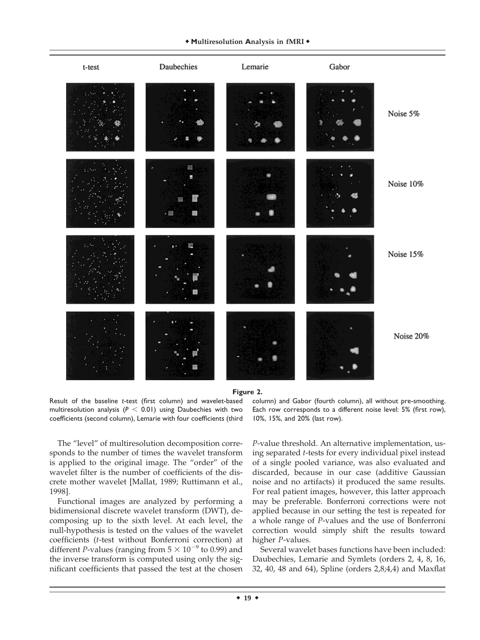

**Figure 2.**

Result of the baseline *t*-test (first column) and wavelet-based multiresolution analysis ( $P < 0.01$ ) using Daubechies with two coefficients (second column), Lemarie with four coefficients (third

column) and Gabor (fourth column), all without pre-smoothing. Each row corresponds to a different noise level: 5% (first row), 10%, 15%, and 20% (last row).

The "level" of multiresolution decomposition corresponds to the number of times the wavelet transform is applied to the original image. The "order" of the wavelet filter is the number of coefficients of the discrete mother wavelet [Mallat, 1989; Ruttimann et al., 1998].

Functional images are analyzed by performing a bidimensional discrete wavelet transform (DWT), decomposing up to the sixth level. At each level, the null-hypothesis is tested on the values of the wavelet coefficients (*t*-test without Bonferroni correction) at different *P*-values (ranging from  $5 \times 10^{-9}$  to 0.99) and the inverse transform is computed using only the significant coefficients that passed the test at the chosen

*P*-value threshold. An alternative implementation, using separated *t*-tests for every individual pixel instead of a single pooled variance, was also evaluated and discarded, because in our case (additive Gaussian noise and no artifacts) it produced the same results. For real patient images, however, this latter approach may be preferable. Bonferroni corrections were not applied because in our setting the test is repeated for a whole range of *P*-values and the use of Bonferroni correction would simply shift the results toward higher *P*-values.

Several wavelet bases functions have been included: Daubechies, Lemarie and Symlets (orders 2, 4, 8, 16, 32, 40, 48 and 64), Spline (orders 2,8;4,4) and Maxflat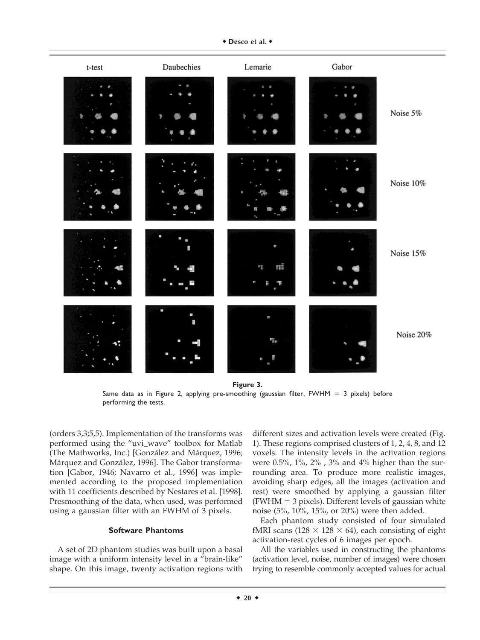

Same data as in Figure 2, applying pre-smoothing (gaussian filter, FWHM  $= 3$  pixels) before performing the tests.

(orders 3,3;5,5). Implementation of the transforms was performed using the "uvi\_wave" toolbox for Matlab (The Mathworks, Inc.) [González and Márquez, 1996; Márquez and González, 1996]. The Gabor transformation [Gabor, 1946; Navarro et al., 1996] was implemented according to the proposed implementation with 11 coefficients described by Nestares et al. [1998]. Presmoothing of the data, when used, was performed using a gaussian filter with an FWHM of 3 pixels.

## **Software Phantoms**

A set of 2D phantom studies was built upon a basal image with a uniform intensity level in a "brain-like" shape. On this image, twenty activation regions with

different sizes and activation levels were created (Fig. 1). These regions comprised clusters of 1, 2, 4, 8, and 12 voxels. The intensity levels in the activation regions were 0.5%, 1%, 2% , 3% and 4% higher than the surrounding area. To produce more realistic images, avoiding sharp edges, all the images (activation and rest) were smoothed by applying a gaussian filter  $(FWHM = 3$  pixels). Different levels of gaussian white noise (5%, 10%, 15%, or 20%) were then added.

Each phantom study consisted of four simulated fMRI scans (128  $\times$  128  $\times$  64), each consisting of eight activation-rest cycles of 6 images per epoch.

All the variables used in constructing the phantoms (activation level, noise, number of images) were chosen trying to resemble commonly accepted values for actual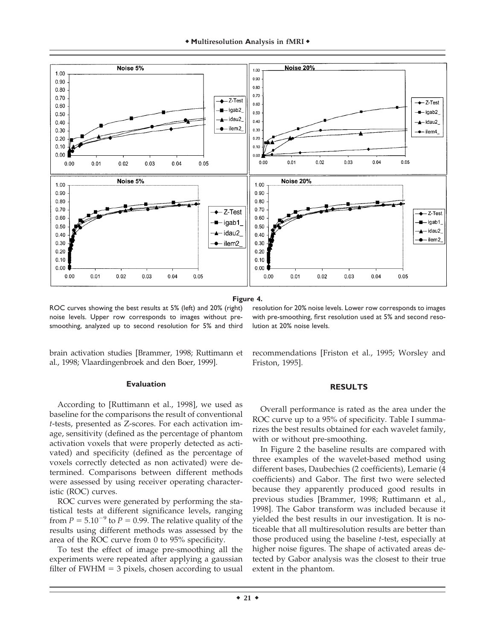

**Figure 4.**

ROC curves showing the best results at 5% (left) and 20% (right) noise levels. Upper row corresponds to images without presmoothing, analyzed up to second resolution for 5% and third

brain activation studies [Brammer, 1998; Ruttimann et al., 1998; Vlaardingenbroek and den Boer, 1999].

#### **Evaluation**

According to [Ruttimann et al., 1998], we used as baseline for the comparisons the result of conventional *t*-tests, presented as Z-scores. For each activation image, sensitivity (defined as the percentage of phantom activation voxels that were properly detected as activated) and specificity (defined as the percentage of voxels correctly detected as non activated) were determined. Comparisons between different methods were assessed by using receiver operating characteristic (ROC) curves.

ROC curves were generated by performing the statistical tests at different significance levels, ranging from  $P = 5.10^{-9}$  to  $P = 0.99$ . The relative quality of the results using different methods was assessed by the area of the ROC curve from 0 to 95% specificity.

To test the effect of image pre-smoothing all the experiments were repeated after applying a gaussian filter of  $FWHM = 3$  pixels, chosen according to usual

resolution for 20% noise levels. Lower row corresponds to images with pre-smoothing, first resolution used at 5% and second resolution at 20% noise levels.

recommendations [Friston et al., 1995; Worsley and Friston, 1995].

## **RESULTS**

Overall performance is rated as the area under the ROC curve up to a 95% of specificity. Table I summarizes the best results obtained for each wavelet family, with or without pre-smoothing.

In Figure 2 the baseline results are compared with three examples of the wavelet-based method using different bases, Daubechies (2 coefficients), Lemarie (4 coefficients) and Gabor. The first two were selected because they apparently produced good results in previous studies [Brammer, 1998; Ruttimann et al., 1998]. The Gabor transform was included because it yielded the best results in our investigation. It is noticeable that all multiresolution results are better than those produced using the baseline *t*-test, especially at higher noise figures. The shape of activated areas detected by Gabor analysis was the closest to their true extent in the phantom.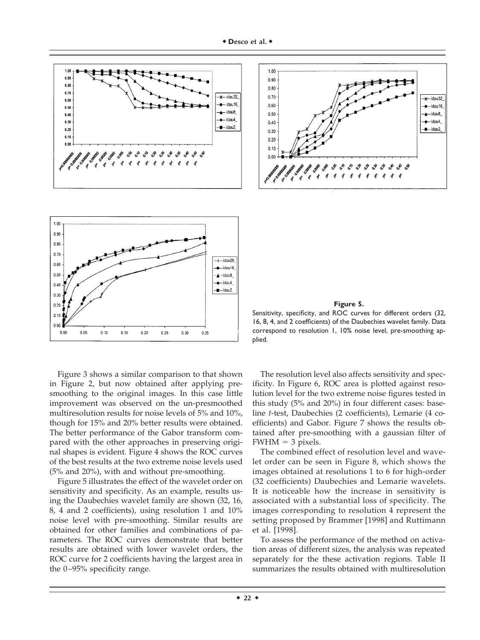

Figure 3 shows a similar comparison to that shown in Figure 2, but now obtained after applying presmoothing to the original images. In this case little improvement was observed on the un-presmoothed multiresolution results for noise levels of 5% and 10%, though for 15% and 20% better results were obtained. The better performance of the Gabor transform compared with the other approaches in preserving original shapes is evident. Figure 4 shows the ROC curves of the best results at the two extreme noise levels used (5% and 20%), with and without pre-smoothing.

Figure 5 illustrates the effect of the wavelet order on sensitivity and specificity. As an example, results using the Daubechies wavelet family are shown (32, 16, 8, 4 and 2 coefficients), using resolution 1 and 10% noise level with pre-smoothing. Similar results are obtained for other families and combinations of parameters. The ROC curves demonstrate that better results are obtained with lower wavelet orders, the ROC curve for 2 coefficients having the largest area in the 0–95% specificity range.



#### **Figure 5.**

Sensitivity, specificity, and ROC curves for different orders (32, 16, 8, 4, and 2 coefficients) of the Daubechies wavelet family. Data correspond to resolution 1, 10% noise level, pre-smoothing applied.

The resolution level also affects sensitivity and specificity. In Figure 6, ROC area is plotted against resolution level for the two extreme noise figures tested in this study (5% and 20%) in four different cases: baseline *t*-test, Daubechies (2 coefficients), Lemarie (4 coefficients) and Gabor. Figure 7 shows the results obtained after pre-smoothing with a gaussian filter of  $FWHM = 3$  pixels.

The combined effect of resolution level and wavelet order can be seen in Figure 8, which shows the images obtained at resolutions 1 to 6 for high-order (32 coefficients) Daubechies and Lemarie wavelets. It is noticeable how the increase in sensitivity is associated with a substantial loss of specificity. The images corresponding to resolution 4 represent the setting proposed by Brammer [1998] and Ruttimann et al. [1998].

To assess the performance of the method on activation areas of different sizes, the analysis was repeated separately for the these activation regions. Table II summarizes the results obtained with multiresolution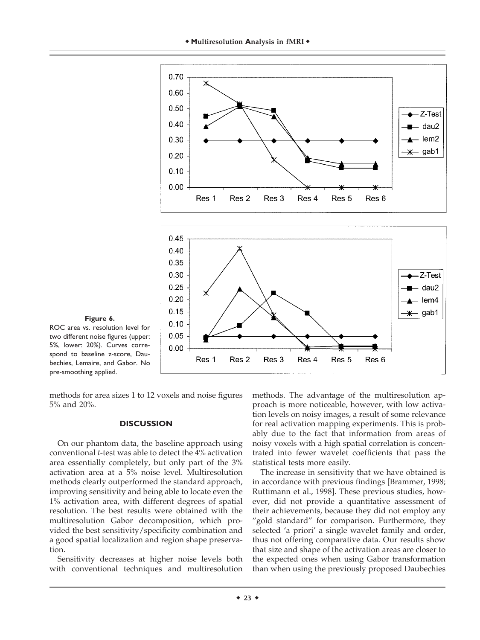



ROC area vs. resolution level for two different noise figures (upper: 5%, lower: 20%). Curves correspond to baseline z-score, Daubechies, Lemaire, and Gabor. No pre-smoothing applied.

methods for area sizes 1 to 12 voxels and noise figures 5% and 20%.

 $0.25$ 

 $0.20$ 

 $0.15$ 

 $0.10$ 0.05  $0.00$ 

Res 1

Res<sub>2</sub>

Res 3

Res 4

#### **DISCUSSION**

On our phantom data, the baseline approach using conventional *t*-test was able to detect the 4% activation area essentially completely, but only part of the 3% activation area at a 5% noise level. Multiresolution methods clearly outperformed the standard approach, improving sensitivity and being able to locate even the 1% activation area, with different degrees of spatial resolution. The best results were obtained with the multiresolution Gabor decomposition, which provided the best sensitivity/specificity combination and a good spatial localization and region shape preservation.

Sensitivity decreases at higher noise levels both with conventional techniques and multiresolution

methods. The advantage of the multiresolution approach is more noticeable, however, with low activation levels on noisy images, a result of some relevance for real activation mapping experiments. This is probably due to the fact that information from areas of noisy voxels with a high spatial correlation is concentrated into fewer wavelet coefficients that pass the statistical tests more easily.

Res<sub>5</sub>

Res 6

- dau2

- lem4

<del>¥</del>— gab1

The increase in sensitivity that we have obtained is in accordance with previous findings [Brammer, 1998; Ruttimann et al., 1998]. These previous studies, however, did not provide a quantitative assessment of their achievements, because they did not employ any "gold standard" for comparison. Furthermore, they selected 'a priori' a single wavelet family and order, thus not offering comparative data. Our results show that size and shape of the activation areas are closer to the expected ones when using Gabor transformation than when using the previously proposed Daubechies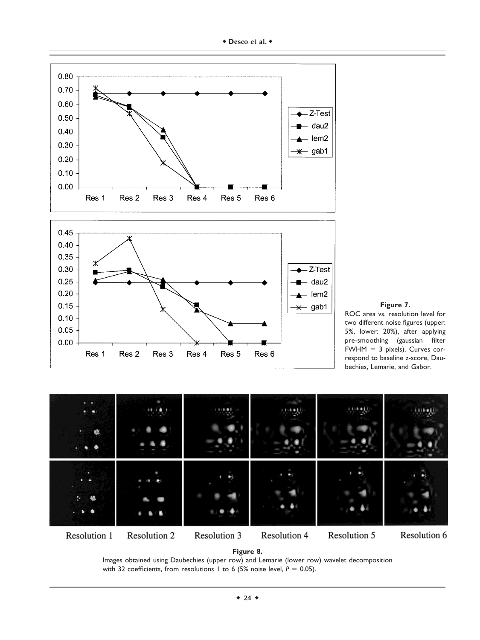



ROC area vs. resolution level for two different noise figures (upper: 5%, lower: 20%), after applying pre-smoothing (gaussian filter FWHM  $= 3$  pixels). Curves correspond to baseline z-score, Daubechies, Lemarie, and Gabor.



Images obtained using Daubechies (upper row) and Lemarie (lower row) wavelet decomposition with 32 coefficients, from resolutions 1 to 6 (5% noise level,  $P = 0.05$ ).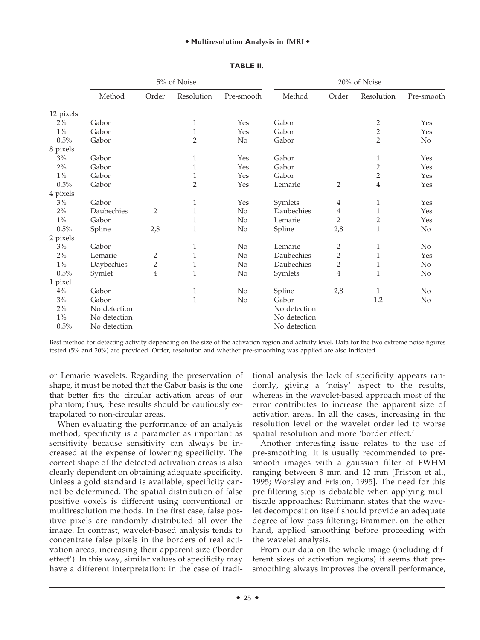| <b>TABLE II.</b> |              |                |                |                |              |                |                |                |  |  |  |  |
|------------------|--------------|----------------|----------------|----------------|--------------|----------------|----------------|----------------|--|--|--|--|
|                  |              |                | 5% of Noise    |                | 20% of Noise |                |                |                |  |  |  |  |
|                  | Method       | Order          | Resolution     | Pre-smooth     | Method       | Order          | Resolution     | Pre-smooth     |  |  |  |  |
| 12 pixels        |              |                |                |                |              |                |                |                |  |  |  |  |
| $2\%$            | Gabor        |                | $\mathbf{1}$   | Yes            | Gabor        |                | 2              | Yes            |  |  |  |  |
| $1\%$            | Gabor        |                | $\mathbf{1}$   | Yes            | Gabor        |                | $\overline{c}$ | Yes            |  |  |  |  |
| 0.5%             | Gabor        |                | $\overline{2}$ | N <sub>o</sub> | Gabor        |                | $\overline{2}$ | No             |  |  |  |  |
| 8 pixels         |              |                |                |                |              |                |                |                |  |  |  |  |
| 3%               | Gabor        |                | $\mathbf{1}$   | Yes            | Gabor        |                | $\mathbf{1}$   | Yes            |  |  |  |  |
| 2%               | Gabor        |                | $\mathbf{1}$   | Yes            | Gabor        |                | $\overline{c}$ | Yes            |  |  |  |  |
| $1\%$            | Gabor        |                | 1              | Yes            | Gabor        |                | $\overline{c}$ | Yes            |  |  |  |  |
| 0.5%             | Gabor        |                | $\overline{2}$ | Yes            | Lemarie      | $\overline{2}$ | $\overline{4}$ | Yes            |  |  |  |  |
| 4 pixels         |              |                |                |                |              |                |                |                |  |  |  |  |
| 3%               | Gabor        |                | $\mathbf{1}$   | Yes            | Symlets      | 4              | $\mathbf{1}$   | Yes            |  |  |  |  |
| 2%               | Daubechies   | 2              | $\mathbf{1}$   | No             | Daubechies   | 4              | $\mathbf 1$    | Yes            |  |  |  |  |
| $1\%$            | Gabor        |                | $\mathbf{1}$   | No             | Lemarie      | $\overline{2}$ | $\overline{c}$ | Yes            |  |  |  |  |
| 0.5%             | Spline       | 2,8            | $\mathbf{1}$   | N <sub>o</sub> | Spline       | 2,8            | $\mathbf 1$    | No             |  |  |  |  |
| 2 pixels         |              |                |                |                |              |                |                |                |  |  |  |  |
| 3%               | Gabor        |                | $\mathbf{1}$   | No             | Lemarie      | $\overline{2}$ | $\mathbf{1}$   | N <sub>o</sub> |  |  |  |  |
| 2%               | Lemarie      | 2              | $\mathbf{1}$   | No             | Daubechies   | $\overline{2}$ | $\mathbf{1}$   | Yes            |  |  |  |  |
| $1\%$            | Daybechies   | $\overline{c}$ | 1              | No             | Daubechies   | $\overline{c}$ | $\mathbf{1}$   | No             |  |  |  |  |
| 0.5%             | Symlet       | $\overline{4}$ | $\mathbf{1}$   | N <sub>o</sub> | Symlets      | $\overline{4}$ | $\mathbf{1}$   | N <sub>o</sub> |  |  |  |  |
| 1 pixel          |              |                |                |                |              |                |                |                |  |  |  |  |
| $4\%$            | Gabor        |                | $\mathbf{1}$   | N <sub>o</sub> | Spline       | 2,8            | 1              | $\rm No$       |  |  |  |  |
| $3\%$            | Gabor        |                | $\mathbf{1}$   | No             | Gabor        |                | 1,2            | N <sub>o</sub> |  |  |  |  |
| 2%               | No detection |                |                |                | No detection |                |                |                |  |  |  |  |
| $1\%$            | No detection |                |                |                | No detection |                |                |                |  |  |  |  |
| 0.5%             | No detection |                |                |                | No detection |                |                |                |  |  |  |  |

Best method for detecting activity depending on the size of the activation region and activity level. Data for the two extreme noise figures tested (5% and 20%) are provided. Order, resolution and whether pre-smoothing was applied are also indicated.

or Lemarie wavelets. Regarding the preservation of shape, it must be noted that the Gabor basis is the one that better fits the circular activation areas of our phantom; thus, these results should be cautiously extrapolated to non-circular areas.

When evaluating the performance of an analysis method, specificity is a parameter as important as sensitivity because sensitivity can always be increased at the expense of lowering specificity. The correct shape of the detected activation areas is also clearly dependent on obtaining adequate specificity. Unless a gold standard is available, specificity cannot be determined. The spatial distribution of false positive voxels is different using conventional or multiresolution methods. In the first case, false positive pixels are randomly distributed all over the image. In contrast, wavelet-based analysis tends to concentrate false pixels in the borders of real activation areas, increasing their apparent size ('border effect'). In this way, similar values of specificity may have a different interpretation: in the case of traditional analysis the lack of specificity appears randomly, giving a 'noisy' aspect to the results, whereas in the wavelet-based approach most of the error contributes to increase the apparent size of activation areas. In all the cases, increasing in the resolution level or the wavelet order led to worse spatial resolution and more 'border effect.'

Another interesting issue relates to the use of pre-smoothing. It is usually recommended to presmooth images with a gaussian filter of FWHM ranging between 8 mm and 12 mm [Friston et al., 1995; Worsley and Friston, 1995]. The need for this pre-filtering step is debatable when applying multiscale approaches: Ruttimann states that the wavelet decomposition itself should provide an adequate degree of low-pass filtering; Brammer, on the other hand, applied smoothing before proceeding with the wavelet analysis.

From our data on the whole image (including different sizes of activation regions) it seems that presmoothing always improves the overall performance,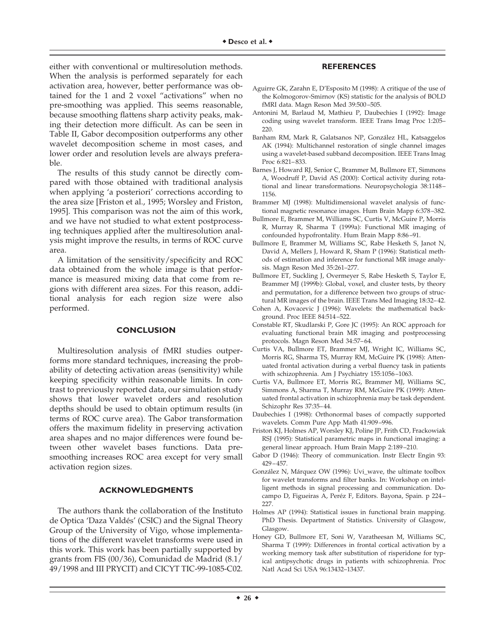either with conventional or multiresolution methods. When the analysis is performed separately for each activation area, however, better performance was obtained for the 1 and 2 voxel "activations" when no pre-smoothing was applied. This seems reasonable, because smoothing flattens sharp activity peaks, making their detection more difficult. As can be seen in Table II, Gabor decomposition outperforms any other wavelet decomposition scheme in most cases, and lower order and resolution levels are always preferable.

The results of this study cannot be directly compared with those obtained with traditional analysis when applying 'a posteriori' corrections according to the area size [Friston et al., 1995; Worsley and Friston, 1995]. This comparison was not the aim of this work, and we have not studied to what extent postprocessing techniques applied after the multiresolution analysis might improve the results, in terms of ROC curve area.

A limitation of the sensitivity/specificity and ROC data obtained from the whole image is that performance is measured mixing data that come from regions with different area sizes. For this reason, additional analysis for each region size were also performed.

## **CONCLUSION**

Multiresolution analysis of fMRI studies outperforms more standard techniques, increasing the probability of detecting activation areas (sensitivity) while keeping specificity within reasonable limits. In contrast to previously reported data, our simulation study shows that lower wavelet orders and resolution depths should be used to obtain optimum results (in terms of ROC curve area). The Gabor transformation offers the maximum fidelity in preserving activation area shapes and no major differences were found between other wavelet bases functions. Data presmoothing increases ROC area except for very small activation region sizes.

### **ACKNOWLEDGMENTS**

The authors thank the collaboration of the Instituto de Optica 'Daza Valdés' (CSIC) and the Signal Theory Group of the University of Vigo, whose implementations of the different wavelet transforms were used in this work. This work has been partially supported by grants from FIS (00/36), Comunidad de Madrid (8.1/ 49/1998 and III PRYCIT) and CICYT TIC-99-1085-C02.

### **REFERENCES**

- Aguirre GK, Zarahn E, D'Esposito M (1998): A critique of the use of the Kolmogorov-Smirnov (KS) statistic for the analysis of BOLD fMRI data. Magn Reson Med 39:500–505.
- Antonini M, Barlaud M, Mathieu P, Daubechies I (1992): Image coding using wavelet transform. IEEE Trans Imag Proc 1:205– 220.
- Banham RM, Mark R, Galatsanos NP, González HL, Katsaggelos AK (1994): Multichannel restoration of single channel images using a wavelet-based subband decomposition. IEEE Trans Imag Proc 6:821–833.
- Barnes J, Howard RJ, Senior C, Brammer M, Bullmore ET, Simmons A, Woodruff P, David AS (2000): Cortical activity during rotational and linear transformations. Neuropsychologia 38:1148– 1156.
- Brammer MJ (1998): Multidimensional wavelet analysis of functional magnetic resonance images. Hum Brain Mapp 6:378–382.
- Bullmore E, Brammer M, Williams SC, Curtis V, McGuire P, Morris R, Murray R, Sharma T (1999a): Functional MR imaging of confounded hypofrontality. Hum Brain Mapp 8:86–91.
- Bullmore E, Brammer M, Williams SC, Rabe Hesketh S, Janot N, David A, Mellers J, Howard R, Sham P (1996): Statistical methods of estimation and inference for functional MR image analysis. Magn Reson Med 35:261–277.
- Bullmore ET, Suckling J, Overmeyer S, Rabe Hesketh S, Taylor E, Brammer MJ (1999b): Global, voxel, and cluster tests, by theory and permutation, for a difference between two groups of structural MR images of the brain. IEEE Trans Med Imaging 18:32–42.
- Cohen A, Kovacevic J (1996): Wavelets: the mathematical background. Proc IEEE 84:514–522.
- Constable RT, Skudlarski P, Gore JC (1995): An ROC approach for evaluating functional brain MR imaging and postprocessing protocols. Magn Reson Med 34:57–64.
- Curtis VA, Bullmore ET, Brammer MJ, Wright IC, Williams SC, Morris RG, Sharma TS, Murray RM, McGuire PK (1998): Attenuated frontal activation during a verbal fluency task in patients with schizophrenia. Am J Psychiatry 155:1056–1063.
- Curtis VA, Bullmore ET, Morris RG, Brammer MJ, Williams SC, Simmons A, Sharma T, Murray RM, McGuire PK (1999): Attenuated frontal activation in schizophrenia may be task dependent. Schizophr Res 37:35–44.
- Daubechies I (1998): Orthonormal bases of compactly supported wavelets. Comm Pure App Math 41:909–996.
- Friston KJ, Holmes AP, Worsley KJ, Poline JP, Frith CD, Frackowiak RSJ (1995): Statistical parametric maps in functional imaging: a general linear approach. Hum Brain Mapp 2:189–210.
- Gabor D (1946): Theory of communication. Instr Electr Engin 93: 429–457.
- González N, Márquez OW (1996): Uvi\_wave, the ultimate toolbox for wavelet transforms and filter banks. In: Workshop on intelligent methods in signal processing and communication. Docampo D, Figueiras A, Peréz F, Editors. Bayona, Spain. p 224-227.
- Holmes AP (1994): Statistical issues in functional brain mapping. PhD Thesis. Department of Statistics. University of Glasgow, Glasgow.
- Honey GD, Bullmore ET, Soni W, Varatheesan M, Williams SC, Sharma T (1999): Differences in frontal cortical activation by a working memory task after substitution of risperidone for typical antipsychotic drugs in patients with schizophrenia. Proc Natl Acad Sci USA 96:13432–13437.